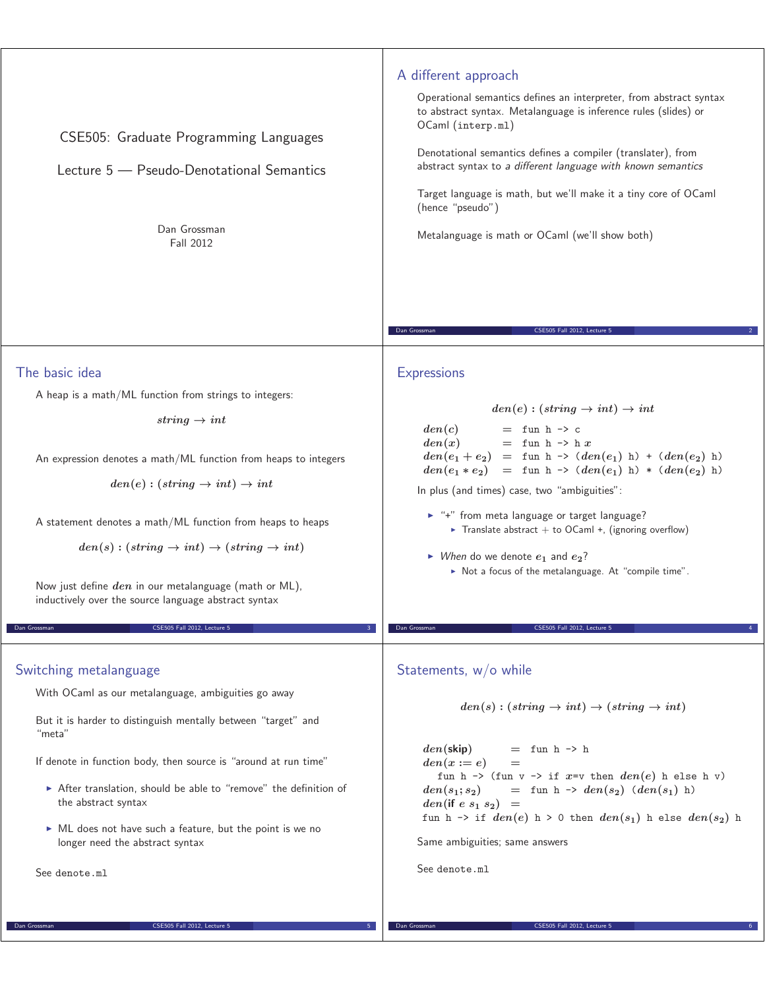| CSE505: Graduate Programming Languages<br>Lecture 5 - Pseudo-Denotational Semantics<br>Dan Grossman<br>Fall 2012                                                                                                                                                                                                                                                                                                                                                                        | A different approach<br>Operational semantics defines an interpreter, from abstract syntax<br>to abstract syntax. Metalanguage is inference rules (slides) or<br>OCaml (interp.ml)<br>Denotational semantics defines a compiler (translater), from<br>abstract syntax to a different language with known semantics<br>Target language is math, but we'll make it a tiny core of OCaml<br>(hence "pseudo")<br>Metalanguage is math or OCaml (we'll show both)<br>Dan Grossman<br>CSE505 Fall 2012, Lecture 5                                                      |
|-----------------------------------------------------------------------------------------------------------------------------------------------------------------------------------------------------------------------------------------------------------------------------------------------------------------------------------------------------------------------------------------------------------------------------------------------------------------------------------------|------------------------------------------------------------------------------------------------------------------------------------------------------------------------------------------------------------------------------------------------------------------------------------------------------------------------------------------------------------------------------------------------------------------------------------------------------------------------------------------------------------------------------------------------------------------|
| The basic idea<br>A heap is a math/ML function from strings to integers:<br>string $\rightarrow int$<br>An expression denotes a math/ML function from heaps to integers<br>$den(e):(string \rightarrow int) \rightarrow int$<br>A statement denotes a math/ML function from heaps to heaps<br>$den(s) : (string \rightarrow int) \rightarrow (string \rightarrow int)$<br>Now just define den in our metalanguage (math or ML),<br>inductively over the source language abstract syntax | <b>Expressions</b><br>$den(e):(string \rightarrow int) \rightarrow int$<br>den(c)<br>$=$ fun h -> c<br>den(x)<br>$=$ fun h -> h x<br>$den(e_1 + e_2) = \text{fun } h \rightarrow (den(e_1) h) + (den(e_2) h)$<br>$den(e_1 * e_2) = \text{fun } h \rightarrow (den(e_1) h) * (den(e_2) h)$<br>In plus (and times) case, two "ambiguities":<br>► "+" from meta language or target language?<br>Translate abstract + to OCaml +, (ignoring overflow)<br>$\triangleright$ When do we denote $e_1$ and $e_2$ ?<br>Not a focus of the metalanguage. At "compile time". |
| Dan Grossman<br>CSE505 Fall 2012, Lecture 5<br>Switching metalanguage<br>With OCaml as our metalanguage, ambiguities go away<br>But it is harder to distinguish mentally between "target" and<br>"meta"<br>If denote in function body, then source is "around at run time"<br>After translation, should be able to "remove" the definition of<br>the abstract syntax<br>• ML does not have such a feature, but the point is we no<br>longer need the abstract syntax<br>See denote.ml   | Dan Grossman<br>CSE505 Fall 2012. Lecture 5<br>Statements, $w/o$ while<br>$den(s) : (string \rightarrow int) \rightarrow (string \rightarrow int)$<br>$=$ fun h $\rightarrow$ h<br>$den(\mathsf{skip})$<br>$den(x := e)$<br>$=$<br>fun h -> (fun v -> if x=v then $den(e)$ h else h v)<br>$=$ fun h $\rightarrow$ den(s <sub>2</sub> ) (den(s <sub>1</sub> ) h)<br>$den(s_1; s_2)$<br>$den$ (if e $s_1$ $s_2$ ) =<br>fun h -> if $den(e)$ h > 0 then $den(s_1)$ h else $den(s_2)$ h<br>Same ambiguities; same answers<br>See denote.ml                           |

**Example 2012, Lecture 5 CSE505 Fall 2012, Lecture 5 6 6** 

**Dan Grossman** CSE505 Fall 2012, Lecture 5